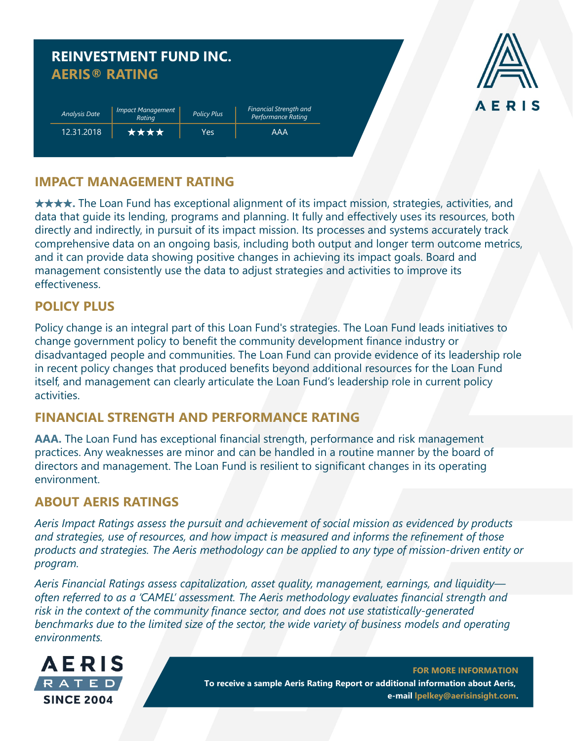|                      | <b>AERIS® RATING</b>               |                    |                                                     |  |
|----------------------|------------------------------------|--------------------|-----------------------------------------------------|--|
|                      |                                    |                    |                                                     |  |
| <b>Analysis Date</b> | <b>Impact Management</b><br>Rating | <b>Policy Plus</b> | <b>Financial Strength and</b><br>Performance Rating |  |
| 12.31.2018           | ****                               | <b>Yes</b>         | <b>AAA</b>                                          |  |



## **IMPACT MANAGEMENT RATING**

★★★★**.** The Loan Fund has exceptional alignment of its impact mission, strategies, activities, and data that guide its lending, programs and planning. It fully and effectively uses its resources, both directly and indirectly, in pursuit of its impact mission. Its processes and systems accurately track comprehensive data on an ongoing basis, including both output and longer term outcome metrics, and it can provide data showing positive changes in achieving its impact goals. Board and management consistently use the data to adjust strategies and activities to improve its effectiveness.

## **POLICY PLUS**

Policy change is an integral part of this Loan Fund's strategies. The Loan Fund leads initiatives to change government policy to benefit the community development finance industry or disadvantaged people and communities. The Loan Fund can provide evidence of its leadership role in recent policy changes that produced benefits beyond additional resources for the Loan Fund itself, and management can clearly articulate the Loan Fund's leadership role in current policy activities.

# **FINANCIAL STRENGTH AND PERFORMANCE RATING**

**AAA.** The Loan Fund has exceptional financial strength, performance and risk management practices. Any weaknesses are minor and can be handled in a routine manner by the board of directors and management. The Loan Fund is resilient to significant changes in its operating environment.

#### **ABOUT AERIS RATINGS**

*Aeris Impact Ratings assess the pursuit and achievement of social mission as evidenced by products and strategies, use of resources, and how impact is measured and informs the refinement of those products and strategies. The Aeris methodology can be applied to any type of mission-driven entity or program.*

*Aeris Financial Ratings assess capitalization, asset quality, management, earnings, and liquidity often referred to as a 'CAMEL' assessment. The Aeris methodology evaluates financial strength and risk in the context of the community finance sector, and does not use statistically-generated benchmarks due to the limited size of the sector, the wide variety of business models and operating environments.*



**FOR MORE INFORMATION To receive a sample Aeris Rating Report or additional information about Aeris, e-mail lpelkey@aerisinsight.com.**